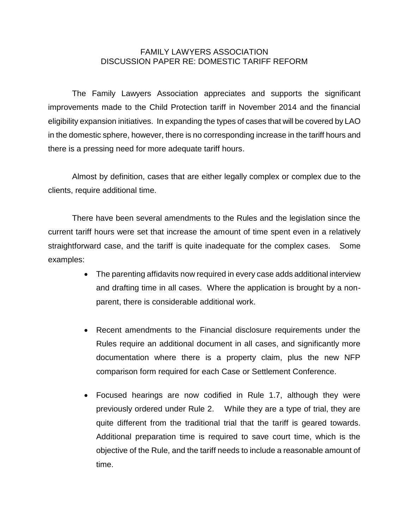## FAMILY LAWYERS ASSOCIATION DISCUSSION PAPER RE: DOMESTIC TARIFF REFORM

The Family Lawyers Association appreciates and supports the significant improvements made to the Child Protection tariff in November 2014 and the financial eligibility expansion initiatives. In expanding the types of cases that will be covered by LAO in the domestic sphere, however, there is no corresponding increase in the tariff hours and there is a pressing need for more adequate tariff hours.

Almost by definition, cases that are either legally complex or complex due to the clients, require additional time.

There have been several amendments to the Rules and the legislation since the current tariff hours were set that increase the amount of time spent even in a relatively straightforward case, and the tariff is quite inadequate for the complex cases. Some examples:

- The parenting affidavits now required in every case adds additional interview and drafting time in all cases. Where the application is brought by a nonparent, there is considerable additional work.
- Recent amendments to the Financial disclosure requirements under the Rules require an additional document in all cases, and significantly more documentation where there is a property claim, plus the new NFP comparison form required for each Case or Settlement Conference.
- Focused hearings are now codified in Rule 1.7, although they were previously ordered under Rule 2. While they are a type of trial, they are quite different from the traditional trial that the tariff is geared towards. Additional preparation time is required to save court time, which is the objective of the Rule, and the tariff needs to include a reasonable amount of time.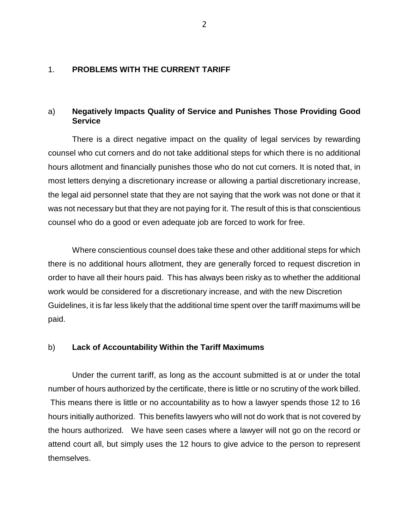### 1. **PROBLEMS WITH THE CURRENT TARIFF**

## a) **Negatively Impacts Quality of Service and Punishes Those Providing Good Service**

There is a direct negative impact on the quality of legal services by rewarding counsel who cut corners and do not take additional steps for which there is no additional hours allotment and financially punishes those who do not cut corners. It is noted that, in most letters denying a discretionary increase or allowing a partial discretionary increase, the legal aid personnel state that they are not saying that the work was not done or that it was not necessary but that they are not paying for it. The result of this is that conscientious counsel who do a good or even adequate job are forced to work for free.

Where conscientious counsel does take these and other additional steps for which there is no additional hours allotment, they are generally forced to request discretion in order to have all their hours paid. This has always been risky as to whether the additional work would be considered for a discretionary increase, and with the new Discretion Guidelines, it is far less likely that the additional time spent over the tariff maximums will be paid.

#### b) **Lack of Accountability Within the Tariff Maximums**

Under the current tariff, as long as the account submitted is at or under the total number of hours authorized by the certificate, there is little or no scrutiny of the work billed. This means there is little or no accountability as to how a lawyer spends those 12 to 16 hours initially authorized. This benefits lawyers who will not do work that is not covered by the hours authorized. We have seen cases where a lawyer will not go on the record or attend court all, but simply uses the 12 hours to give advice to the person to represent themselves.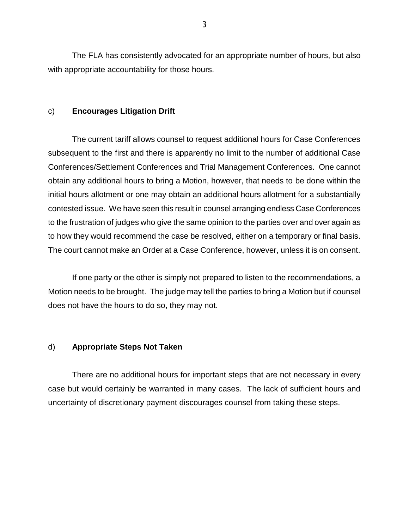The FLA has consistently advocated for an appropriate number of hours, but also with appropriate accountability for those hours.

### c) **Encourages Litigation Drift**

The current tariff allows counsel to request additional hours for Case Conferences subsequent to the first and there is apparently no limit to the number of additional Case Conferences/Settlement Conferences and Trial Management Conferences. One cannot obtain any additional hours to bring a Motion, however, that needs to be done within the initial hours allotment or one may obtain an additional hours allotment for a substantially contested issue. We have seen this result in counsel arranging endless Case Conferences to the frustration of judges who give the same opinion to the parties over and over again as to how they would recommend the case be resolved, either on a temporary or final basis. The court cannot make an Order at a Case Conference, however, unless it is on consent.

If one party or the other is simply not prepared to listen to the recommendations, a Motion needs to be brought. The judge may tell the parties to bring a Motion but if counsel does not have the hours to do so, they may not.

#### d) **Appropriate Steps Not Taken**

There are no additional hours for important steps that are not necessary in every case but would certainly be warranted in many cases. The lack of sufficient hours and uncertainty of discretionary payment discourages counsel from taking these steps.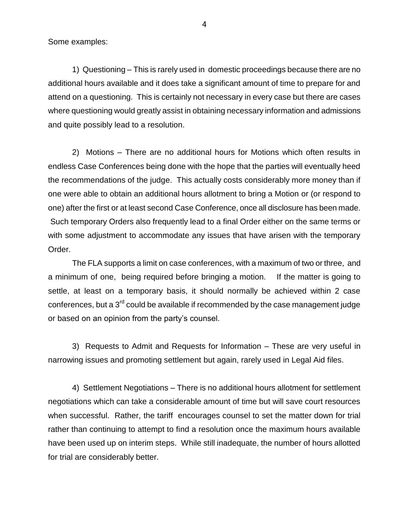Some examples:

1) Questioning – This is rarely used in domestic proceedings because there are no additional hours available and it does take a significant amount of time to prepare for and attend on a questioning. This is certainly not necessary in every case but there are cases where questioning would greatly assist in obtaining necessary information and admissions and quite possibly lead to a resolution.

2) Motions – There are no additional hours for Motions which often results in endless Case Conferences being done with the hope that the parties will eventually heed the recommendations of the judge. This actually costs considerably more money than if one were able to obtain an additional hours allotment to bring a Motion or (or respond to one) after the first or at least second Case Conference, once all disclosure has been made. Such temporary Orders also frequently lead to a final Order either on the same terms or with some adjustment to accommodate any issues that have arisen with the temporary Order.

The FLA supports a limit on case conferences, with a maximum of two or three, and a minimum of one, being required before bringing a motion. If the matter is going to settle, at least on a temporary basis, it should normally be achieved within 2 case conferences, but a  $3^{rd}$  could be available if recommended by the case management judge or based on an opinion from the party's counsel.

3) Requests to Admit and Requests for Information – These are very useful in narrowing issues and promoting settlement but again, rarely used in Legal Aid files.

4) Settlement Negotiations – There is no additional hours allotment for settlement negotiations which can take a considerable amount of time but will save court resources when successful. Rather, the tariff encourages counsel to set the matter down for trial rather than continuing to attempt to find a resolution once the maximum hours available have been used up on interim steps. While still inadequate, the number of hours allotted for trial are considerably better.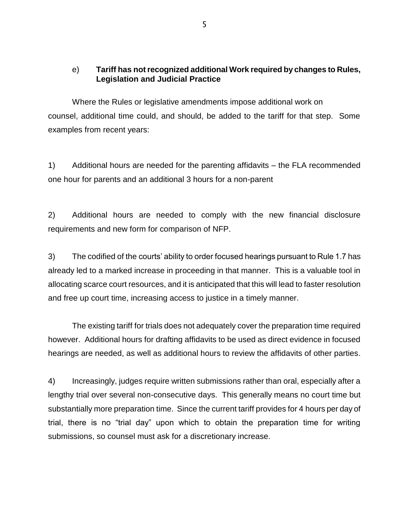# e) **Tariff has not recognized additional Work required by changes to Rules, Legislation and Judicial Practice**

Where the Rules or legislative amendments impose additional work on counsel, additional time could, and should, be added to the tariff for that step. Some examples from recent years:

1) Additional hours are needed for the parenting affidavits – the FLA recommended one hour for parents and an additional 3 hours for a non-parent

2) Additional hours are needed to comply with the new financial disclosure requirements and new form for comparison of NFP.

3) The codified of the courts' ability to order focused hearings pursuant to Rule 1.7 has already led to a marked increase in proceeding in that manner. This is a valuable tool in allocating scarce court resources, and it is anticipated that this will lead to faster resolution and free up court time, increasing access to justice in a timely manner.

The existing tariff for trials does not adequately cover the preparation time required however. Additional hours for drafting affidavits to be used as direct evidence in focused hearings are needed, as well as additional hours to review the affidavits of other parties.

4) Increasingly, judges require written submissions rather than oral, especially after a lengthy trial over several non-consecutive days. This generally means no court time but substantially more preparation time. Since the current tariff provides for 4 hours per day of trial, there is no "trial day" upon which to obtain the preparation time for writing submissions, so counsel must ask for a discretionary increase.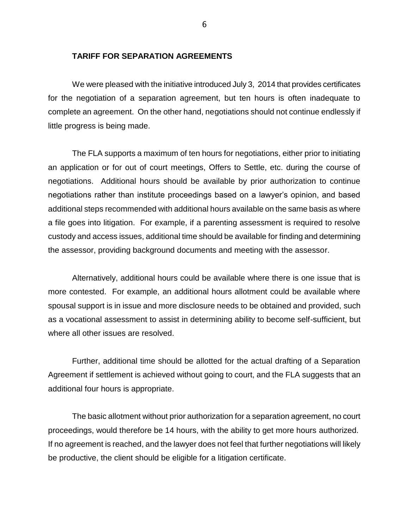## **TARIFF FOR SEPARATION AGREEMENTS**

We were pleased with the initiative introduced July 3, 2014 that provides certificates for the negotiation of a separation agreement, but ten hours is often inadequate to complete an agreement. On the other hand, negotiations should not continue endlessly if little progress is being made.

The FLA supports a maximum of ten hours for negotiations, either prior to initiating an application or for out of court meetings, Offers to Settle, etc. during the course of negotiations. Additional hours should be available by prior authorization to continue negotiations rather than institute proceedings based on a lawyer's opinion, and based additional steps recommended with additional hours available on the same basis as where a file goes into litigation. For example, if a parenting assessment is required to resolve custody and access issues, additional time should be available for finding and determining the assessor, providing background documents and meeting with the assessor.

Alternatively, additional hours could be available where there is one issue that is more contested. For example, an additional hours allotment could be available where spousal support is in issue and more disclosure needs to be obtained and provided, such as a vocational assessment to assist in determining ability to become self-sufficient, but where all other issues are resolved.

Further, additional time should be allotted for the actual drafting of a Separation Agreement if settlement is achieved without going to court, and the FLA suggests that an additional four hours is appropriate.

The basic allotment without prior authorization for a separation agreement, no court proceedings, would therefore be 14 hours, with the ability to get more hours authorized. If no agreement is reached, and the lawyer does not feel that further negotiations will likely be productive, the client should be eligible for a litigation certificate.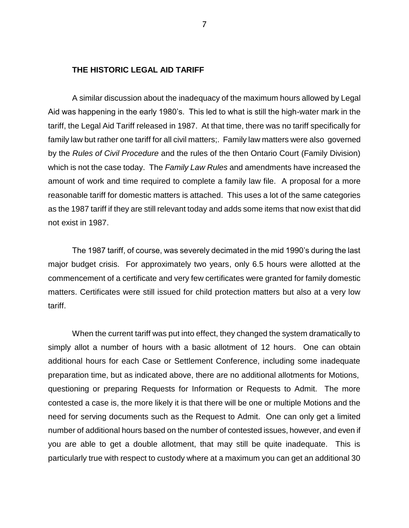### **THE HISTORIC LEGAL AID TARIFF**

A similar discussion about the inadequacy of the maximum hours allowed by Legal Aid was happening in the early 1980's. This led to what is still the high-water mark in the tariff, the Legal Aid Tariff released in 1987. At that time, there was no tariff specifically for family law but rather one tariff for all civil matters;. Family law matters were also governed by the *Rules of Civil Procedure* and the rules of the then Ontario Court (Family Division) which is not the case today. The *Family Law Rules* and amendments have increased the amount of work and time required to complete a family law file. A proposal for a more reasonable tariff for domestic matters is attached. This uses a lot of the same categories as the 1987 tariff if they are still relevant today and adds some items that now exist that did not exist in 1987.

The 1987 tariff, of course, was severely decimated in the mid 1990's during the last major budget crisis. For approximately two years, only 6.5 hours were allotted at the commencement of a certificate and very few certificates were granted for family domestic matters. Certificates were still issued for child protection matters but also at a very low tariff.

When the current tariff was put into effect, they changed the system dramatically to simply allot a number of hours with a basic allotment of 12 hours. One can obtain additional hours for each Case or Settlement Conference, including some inadequate preparation time, but as indicated above, there are no additional allotments for Motions, questioning or preparing Requests for Information or Requests to Admit. The more contested a case is, the more likely it is that there will be one or multiple Motions and the need for serving documents such as the Request to Admit. One can only get a limited number of additional hours based on the number of contested issues, however, and even if you are able to get a double allotment, that may still be quite inadequate. This is particularly true with respect to custody where at a maximum you can get an additional 30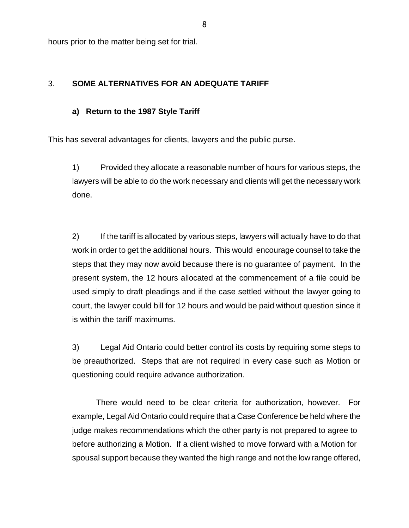hours prior to the matter being set for trial.

## 3. **SOME ALTERNATIVES FOR AN ADEQUATE TARIFF**

## **a) Return to the 1987 Style Tariff**

This has several advantages for clients, lawyers and the public purse.

1) Provided they allocate a reasonable number of hours for various steps, the lawyers will be able to do the work necessary and clients will get the necessary work done.

2) If the tariff is allocated by various steps, lawyers will actually have to do that work in order to get the additional hours. This would encourage counsel to take the steps that they may now avoid because there is no guarantee of payment. In the present system, the 12 hours allocated at the commencement of a file could be used simply to draft pleadings and if the case settled without the lawyer going to court, the lawyer could bill for 12 hours and would be paid without question since it is within the tariff maximums.

3) Legal Aid Ontario could better control its costs by requiring some steps to be preauthorized. Steps that are not required in every case such as Motion or questioning could require advance authorization.

There would need to be clear criteria for authorization, however. For example, Legal Aid Ontario could require that a Case Conference be held where the judge makes recommendations which the other party is not prepared to agree to before authorizing a Motion. If a client wished to move forward with a Motion for spousal support because they wanted the high range and not the low range offered,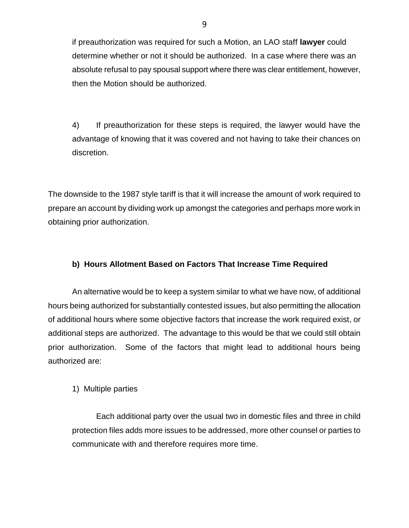if preauthorization was required for such a Motion, an LAO staff **lawyer** could determine whether or not it should be authorized. In a case where there was an absolute refusal to pay spousal support where there was clear entitlement, however, then the Motion should be authorized.

4) If preauthorization for these steps is required, the lawyer would have the advantage of knowing that it was covered and not having to take their chances on discretion.

The downside to the 1987 style tariff is that it will increase the amount of work required to prepare an account by dividing work up amongst the categories and perhaps more work in obtaining prior authorization.

# **b) Hours Allotment Based on Factors That Increase Time Required**

An alternative would be to keep a system similar to what we have now, of additional hours being authorized for substantially contested issues, but also permitting the allocation of additional hours where some objective factors that increase the work required exist, or additional steps are authorized. The advantage to this would be that we could still obtain prior authorization. Some of the factors that might lead to additional hours being authorized are:

# 1) Multiple parties

Each additional party over the usual two in domestic files and three in child protection files adds more issues to be addressed, more other counsel or parties to communicate with and therefore requires more time.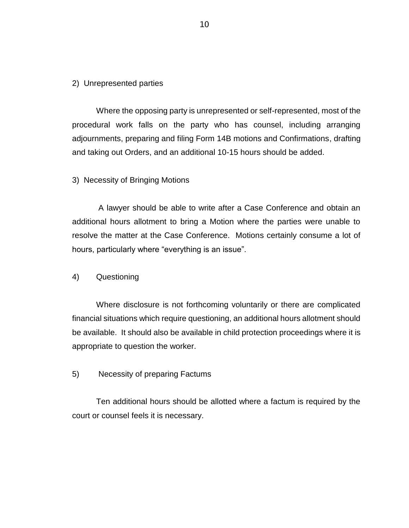### 2) Unrepresented parties

Where the opposing party is unrepresented or self-represented, most of the procedural work falls on the party who has counsel, including arranging adjournments, preparing and filing Form 14B motions and Confirmations, drafting and taking out Orders, and an additional 10-15 hours should be added.

## 3) Necessity of Bringing Motions

A lawyer should be able to write after a Case Conference and obtain an additional hours allotment to bring a Motion where the parties were unable to resolve the matter at the Case Conference. Motions certainly consume a lot of hours, particularly where "everything is an issue".

#### 4) Questioning

Where disclosure is not forthcoming voluntarily or there are complicated financial situations which require questioning, an additional hours allotment should be available. It should also be available in child protection proceedings where it is appropriate to question the worker.

## 5) Necessity of preparing Factums

Ten additional hours should be allotted where a factum is required by the court or counsel feels it is necessary.